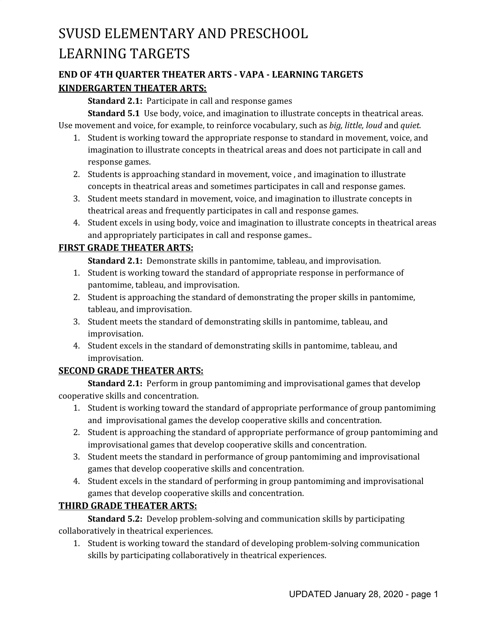### **END OF 4TH QUARTER THEATER ARTS - VAPA - LEARNING TARGETS KINDERGARTEN THEATER ARTS:**

**Standard 2.1:** Participate in call and response games

**Standard 5.1** Use body, voice, and imagination to illustrate concepts in theatrical areas. Use movement and voice, for example, to reinforce vocabulary, such as *big, little, loud* and *quiet.*

- 1. Student is working toward the appropriate response to standard in movement, voice, and imagination to illustrate concepts in theatrical areas and does not participate in call and response games.
- 2. Students is approaching standard in movement, voice , and imagination to illustrate concepts in theatrical areas and sometimes participates in call and response games.
- 3. Student meets standard in movement, voice, and imagination to illustrate concepts in theatrical areas and frequently participates in call and response games.
- 4. Student excels in using body, voice and imagination to illustrate concepts in theatrical areas and appropriately participates in call and response games..

### **FIRST GRADE THEATER ARTS:**

**Standard 2.1:** Demonstrate skills in pantomime, tableau, and improvisation.

- 1. Student is working toward the standard of appropriate response in performance of pantomime, tableau, and improvisation.
- 2. Student is approaching the standard of demonstrating the proper skills in pantomime, tableau, and improvisation.
- 3. Student meets the standard of demonstrating skills in pantomime, tableau, and improvisation.
- 4. Student excels in the standard of demonstrating skills in pantomime, tableau, and improvisation.

### **SECOND GRADE THEATER ARTS:**

**Standard 2.1:** Perform in group pantomiming and improvisational games that develop cooperative skills and concentration.

- 1. Student is working toward the standard of appropriate performance of group pantomiming and improvisational games the develop cooperative skills and concentration.
- 2. Student is approaching the standard of appropriate performance of group pantomiming and improvisational games that develop cooperative skills and concentration.
- 3. Student meets the standard in performance of group pantomiming and improvisational games that develop cooperative skills and concentration.
- 4. Student excels in the standard of performing in group pantomiming and improvisational games that develop cooperative skills and concentration.

### **THIRD GRADE THEATER ARTS:**

**Standard 5.2:** Develop problem-solving and communication skills by participating collaboratively in theatrical experiences.

1. Student is working toward the standard of developing problem-solving communication skills by participating collaboratively in theatrical experiences.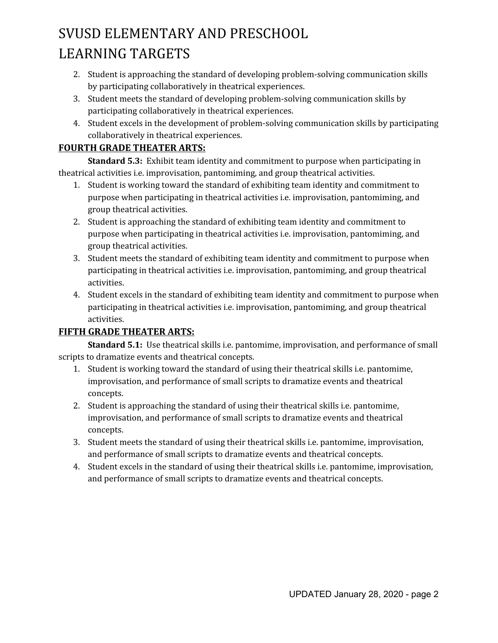- 2. Student is approaching the standard of developing problem-solving communication skills by participating collaboratively in theatrical experiences.
- 3. Student meets the standard of developing problem-solving communication skills by participating collaboratively in theatrical experiences.
- 4. Student excels in the development of problem-solving communication skills by participating collaboratively in theatrical experiences.

### **FOURTH GRADE THEATER ARTS:**

**Standard 5.3:** Exhibit team identity and commitment to purpose when participating in theatrical activities i.e. improvisation, pantomiming, and group theatrical activities.

- 1. Student is working toward the standard of exhibiting team identity and commitment to purpose when participating in theatrical activities i.e. improvisation, pantomiming, and group theatrical activities.
- 2. Student is approaching the standard of exhibiting team identity and commitment to purpose when participating in theatrical activities i.e. improvisation, pantomiming, and group theatrical activities.
- 3. Student meets the standard of exhibiting team identity and commitment to purpose when participating in theatrical activities i.e. improvisation, pantomiming, and group theatrical activities.
- 4. Student excels in the standard of exhibiting team identity and commitment to purpose when participating in theatrical activities i.e. improvisation, pantomiming, and group theatrical activities.

### **FIFTH GRADE THEATER ARTS:**

**Standard 5.1:** Use theatrical skills i.e. pantomime, improvisation, and performance of small scripts to dramatize events and theatrical concepts.

- 1. Student is working toward the standard of using their theatrical skills i.e. pantomime, improvisation, and performance of small scripts to dramatize events and theatrical concepts.
- 2. Student is approaching the standard of using their theatrical skills i.e. pantomime, improvisation, and performance of small scripts to dramatize events and theatrical concepts.
- 3. Student meets the standard of using their theatrical skills i.e. pantomime, improvisation, and performance of small scripts to dramatize events and theatrical concepts.
- 4. Student excels in the standard of using their theatrical skills i.e. pantomime, improvisation, and performance of small scripts to dramatize events and theatrical concepts.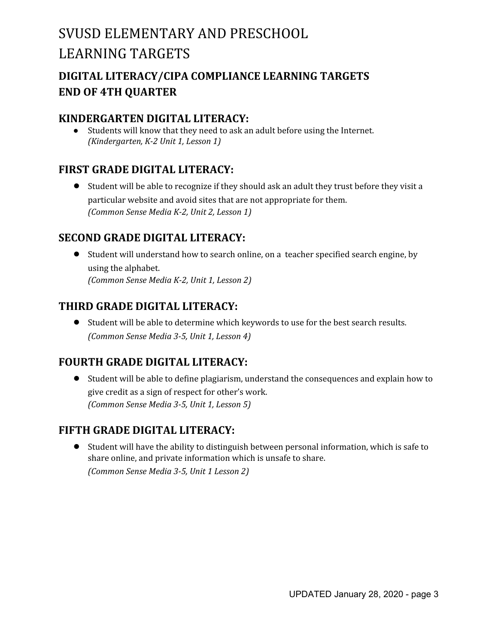## **DIGITAL LITERACY/CIPA COMPLIANCE LEARNING TARGETS END OF 4TH QUARTER**

### **KINDERGARTEN DIGITAL LITERACY:**

● Students will know that they need to ask an adult before using the Internet. *(Kindergarten, K-2 Unit 1, Lesson 1)*

### **FIRST GRADE DIGITAL LITERACY:**

**●** Student will be able to recognize if they should ask an adult they trust before they visit a particular website and avoid sites that are not appropriate for them. *(Common Sense Media K-2, Unit 2, Lesson 1)*

### **SECOND GRADE DIGITAL LITERACY:**

**●** Student will understand how to search online, on a teacher specified search engine, by using the alphabet. *(Common Sense Media K-2, Unit 1, Lesson 2)*

### **THIRD GRADE DIGITAL LITERACY:**

**●** Student will be able to determine which keywords to use for the best search results. *(Common Sense Media 3-5, Unit 1, Lesson 4)*

### **FOURTH GRADE DIGITAL LITERACY:**

**●** Student will be able to define plagiarism, understand the consequences and explain how to give credit as a sign of respect for other's work. *(Common Sense Media 3-5, Unit 1, Lesson 5)*

### **FIFTH GRADE DIGITAL LITERACY:**

**●** Student will have the ability to distinguish between personal information, which is safe to share online, and private information which is unsafe to share. *(Common Sense Media 3-5, Unit 1 Lesson 2)*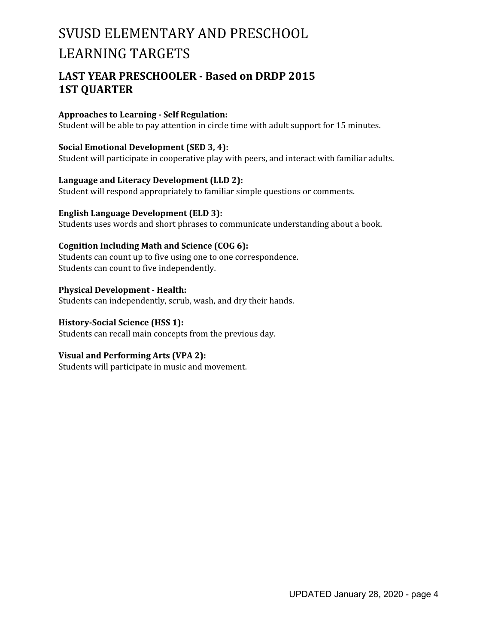### **LAST YEAR PRESCHOOLER - Based on DRDP 2015 1ST QUARTER**

#### **Approaches to Learning - Self Regulation:**

Student will be able to pay attention in circle time with adult support for 15 minutes.

#### **Social Emotional Development (SED 3, 4):**

Student will participate in cooperative play with peers, and interact with familiar adults.

**Language and Literacy Development (LLD 2):**

Student will respond appropriately to familiar simple questions or comments.

**English Language Development (ELD 3):** Students uses words and short phrases to communicate understanding about a book.

#### **Cognition Including Math and Science (COG 6):**

Students can count up to five using one to one correspondence. Students can count to five independently.

**Physical Development - Health:** Students can independently, scrub, wash, and dry their hands.

**History-Social Science (HSS 1):** Students can recall main concepts from the previous day.

#### **Visual and Performing Arts (VPA 2):**

Students will participate in music and movement.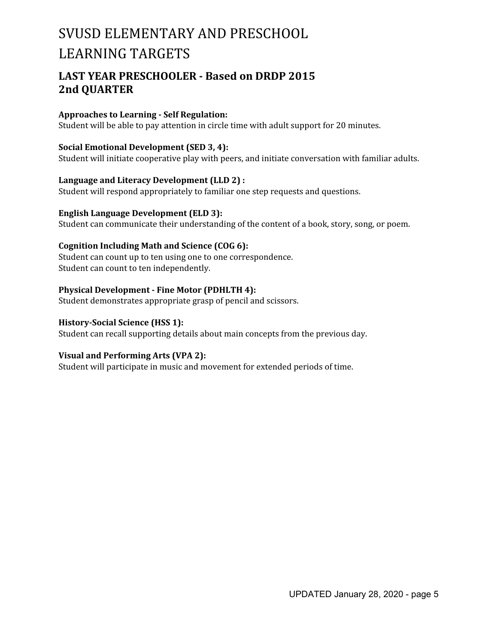### **LAST YEAR PRESCHOOLER - Based on DRDP 2015 2nd QUARTER**

#### **Approaches to Learning - Self Regulation:**

Student will be able to pay attention in circle time with adult support for 20 minutes.

#### **Social Emotional Development (SED 3, 4):**

Student will initiate cooperative play with peers, and initiate conversation with familiar adults.

#### **Language and Literacy Development (LLD 2) :**

Student will respond appropriately to familiar one step requests and questions.

#### **English Language Development (ELD 3):**

Student can communicate their understanding of the content of a book, story, song, or poem.

#### **Cognition Including Math and Science (COG 6):**

Student can count up to ten using one to one correspondence. Student can count to ten independently.

#### **Physical Development - Fine Motor (PDHLTH 4):**

Student demonstrates appropriate grasp of pencil and scissors.

#### **History-Social Science (HSS 1):**

Student can recall supporting details about main concepts from the previous day.

#### **Visual and Performing Arts (VPA 2):**

Student will participate in music and movement for extended periods of time.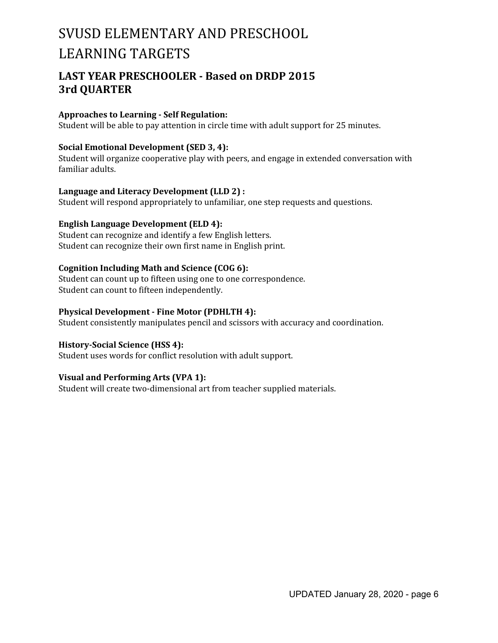### **LAST YEAR PRESCHOOLER - Based on DRDP 2015 3rd QUARTER**

#### **Approaches to Learning - Self Regulation:**

Student will be able to pay attention in circle time with adult support for 25 minutes.

#### **Social Emotional Development (SED 3, 4):**

Student will organize cooperative play with peers, and engage in extended conversation with familiar adults.

#### **Language and Literacy Development (LLD 2) :**

Student will respond appropriately to unfamiliar, one step requests and questions.

#### **English Language Development (ELD 4):**

Student can recognize and identify a few English letters. Student can recognize their own first name in English print.

#### **Cognition Including Math and Science (COG 6):**

Student can count up to fifteen using one to one correspondence. Student can count to fifteen independently.

#### **Physical Development - Fine Motor (PDHLTH 4):**

Student consistently manipulates pencil and scissors with accuracy and coordination.

#### **History-Social Science (HSS 4):**

Student uses words for conflict resolution with adult support.

#### **Visual and Performing Arts (VPA 1):**

Student will create two-dimensional art from teacher supplied materials.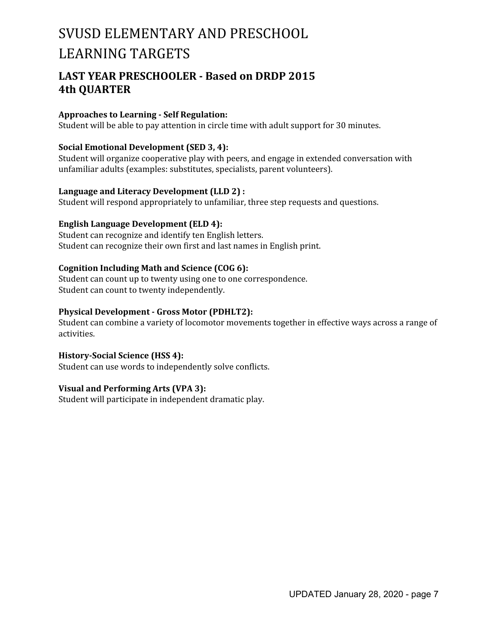### **LAST YEAR PRESCHOOLER - Based on DRDP 2015 4th QUARTER**

#### **Approaches to Learning - Self Regulation:**

Student will be able to pay attention in circle time with adult support for 30 minutes.

#### **Social Emotional Development (SED 3, 4):**

Student will organize cooperative play with peers, and engage in extended conversation with unfamiliar adults (examples: substitutes, specialists, parent volunteers).

#### **Language and Literacy Development (LLD 2) :**

Student will respond appropriately to unfamiliar, three step requests and questions.

#### **English Language Development (ELD 4):**

Student can recognize and identify ten English letters. Student can recognize their own first and last names in English print.

#### **Cognition Including Math and Science (COG 6):**

Student can count up to twenty using one to one correspondence. Student can count to twenty independently.

#### **Physical Development - Gross Motor (PDHLT2):**

Student can combine a variety of locomotor movements together in effective ways across a range of activities.

#### **History-Social Science (HSS 4):**

Student can use words to independently solve conflicts.

#### **Visual and Performing Arts (VPA 3):**

Student will participate in independent dramatic play.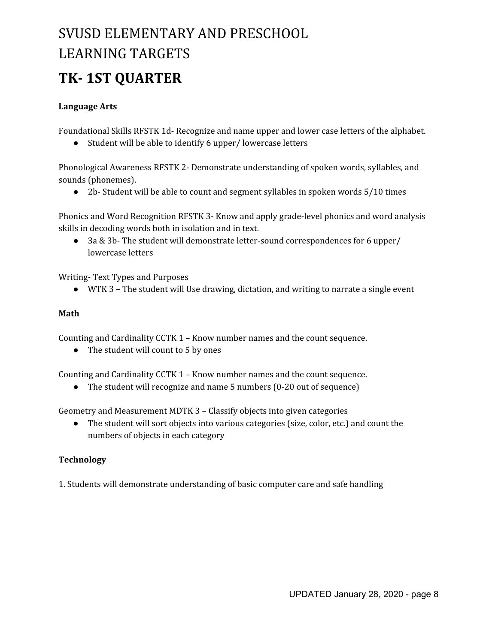## **TK- 1ST QUARTER**

#### **Language Arts**

Foundational Skills RFSTK 1d- Recognize and name upper and lower case letters of the alphabet.

● Student will be able to identify 6 upper/ lowercase letters

Phonological Awareness RFSTK 2- Demonstrate understanding of spoken words, syllables, and sounds (phonemes).

● 2b- Student will be able to count and segment syllables in spoken words 5/10 times

Phonics and Word Recognition RFSTK 3- Know and apply grade-level phonics and word analysis skills in decoding words both in isolation and in text.

● 3a & 3b- The student will demonstrate letter-sound correspondences for 6 upper/ lowercase letters

Writing- Text Types and Purposes

● WTK 3 – The student will Use drawing, dictation, and writing to narrate a single event

#### **Math**

Counting and Cardinality CCTK 1 – Know number names and the count sequence.

• The student will count to 5 by ones

Counting and Cardinality CCTK 1 – Know number names and the count sequence.

• The student will recognize and name 5 numbers (0-20 out of sequence)

Geometry and Measurement MDTK 3 – Classify objects into given categories

● The student will sort objects into various categories (size, color, etc.) and count the numbers of objects in each category

### **Technology**

1. Students will demonstrate understanding of basic computer care and safe handling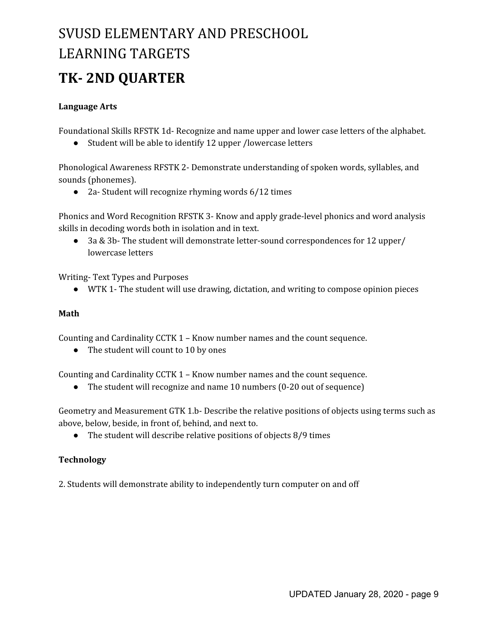## **TK- 2ND QUARTER**

#### **Language Arts**

Foundational Skills RFSTK 1d- Recognize and name upper and lower case letters of the alphabet.

● Student will be able to identify 12 upper /lowercase letters

Phonological Awareness RFSTK 2- Demonstrate understanding of spoken words, syllables, and sounds (phonemes).

● 2a- Student will recognize rhyming words 6/12 times

Phonics and Word Recognition RFSTK 3- Know and apply grade-level phonics and word analysis skills in decoding words both in isolation and in text.

● 3a & 3b- The student will demonstrate letter-sound correspondences for 12 upper/ lowercase letters

Writing- Text Types and Purposes

● WTK 1- The student will use drawing, dictation, and writing to compose opinion pieces

#### **Math**

Counting and Cardinality CCTK 1 – Know number names and the count sequence.

• The student will count to 10 by ones

Counting and Cardinality CCTK 1 – Know number names and the count sequence.

• The student will recognize and name 10 numbers (0-20 out of sequence)

Geometry and Measurement GTK 1.b- Describe the relative positions of objects using terms such as above, below, beside, in front of, behind, and next to.

• The student will describe relative positions of objects 8/9 times

### **Technology**

2. Students will demonstrate ability to independently turn computer on and off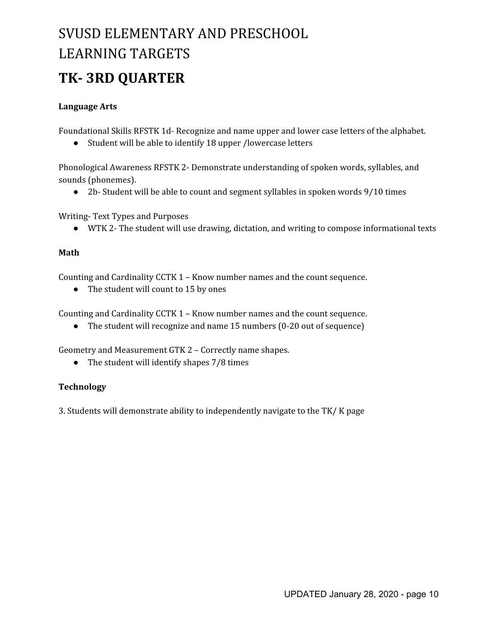## **TK- 3RD QUARTER**

#### **Language Arts**

Foundational Skills RFSTK 1d- Recognize and name upper and lower case letters of the alphabet.

● Student will be able to identify 18 upper /lowercase letters

Phonological Awareness RFSTK 2- Demonstrate understanding of spoken words, syllables, and sounds (phonemes).

● 2b- Student will be able to count and segment syllables in spoken words 9/10 times

Writing- Text Types and Purposes

● WTK 2- The student will use drawing, dictation, and writing to compose informational texts

#### **Math**

Counting and Cardinality CCTK 1 – Know number names and the count sequence.

• The student will count to 15 by ones

Counting and Cardinality CCTK 1 – Know number names and the count sequence.

• The student will recognize and name 15 numbers (0-20 out of sequence)

Geometry and Measurement GTK 2 – Correctly name shapes.

• The student will identify shapes 7/8 times

#### **Technology**

3. Students will demonstrate ability to independently navigate to the TK/ K page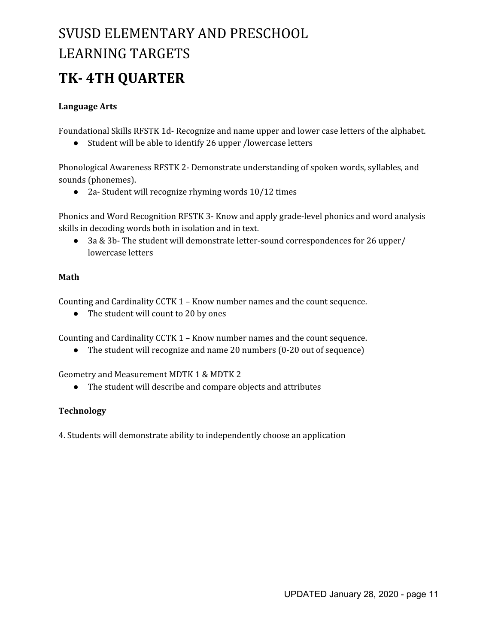## **TK- 4TH QUARTER**

#### **Language Arts**

Foundational Skills RFSTK 1d- Recognize and name upper and lower case letters of the alphabet.

● Student will be able to identify 26 upper /lowercase letters

Phonological Awareness RFSTK 2- Demonstrate understanding of spoken words, syllables, and sounds (phonemes).

● 2a- Student will recognize rhyming words 10/12 times

Phonics and Word Recognition RFSTK 3- Know and apply grade-level phonics and word analysis skills in decoding words both in isolation and in text.

● 3a & 3b- The student will demonstrate letter-sound correspondences for 26 upper/ lowercase letters

#### **Math**

Counting and Cardinality CCTK 1 – Know number names and the count sequence.

• The student will count to 20 by ones

Counting and Cardinality CCTK 1 – Know number names and the count sequence.

• The student will recognize and name 20 numbers (0-20 out of sequence)

Geometry and Measurement MDTK 1 & MDTK 2

● The student will describe and compare objects and attributes

### **Technology**

4. Students will demonstrate ability to independently choose an application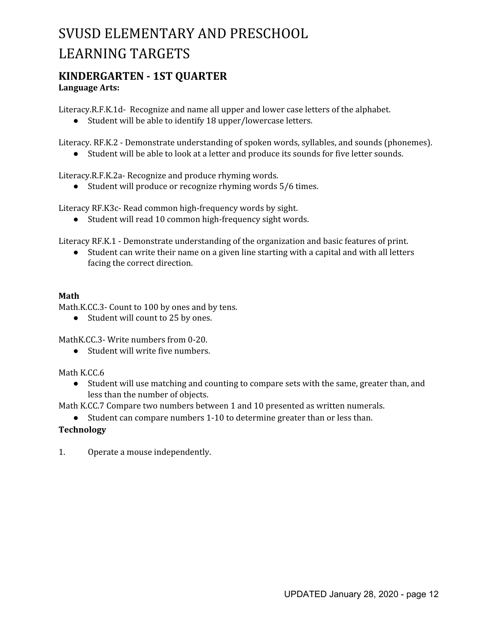## **KINDERGARTEN - 1ST QUARTER**

**Language Arts:**

Literacy.R.F.K.1d- Recognize and name all upper and lower case letters of the alphabet.

● Student will be able to identify 18 upper/lowercase letters.

Literacy. RF.K.2 - Demonstrate understanding of spoken words, syllables, and sounds (phonemes).

● Student will be able to look at a letter and produce its sounds for five letter sounds.

Literacy.R.F.K.2a- Recognize and produce rhyming words.

● Student will produce or recognize rhyming words 5/6 times.

Literacy RF.K3c- Read common high-frequency words by sight.

● Student will read 10 common high-frequency sight words.

Literacy RF.K.1 - Demonstrate understanding of the organization and basic features of print.

● Student can write their name on a given line starting with a capital and with all letters facing the correct direction.

#### **Math**

Math.K.CC.3- Count to 100 by ones and by tens.

● Student will count to 25 by ones.

MathK.CC.3- Write numbers from 0-20.

● Student will write five numbers.

Math K.CC.6

● Student will use matching and counting to compare sets with the same, greater than, and less than the number of objects.

Math K.CC.7 Compare two numbers between 1 and 10 presented as written numerals.

● Student can compare numbers 1-10 to determine greater than or less than.

#### **Technology**

1. Operate a mouse independently.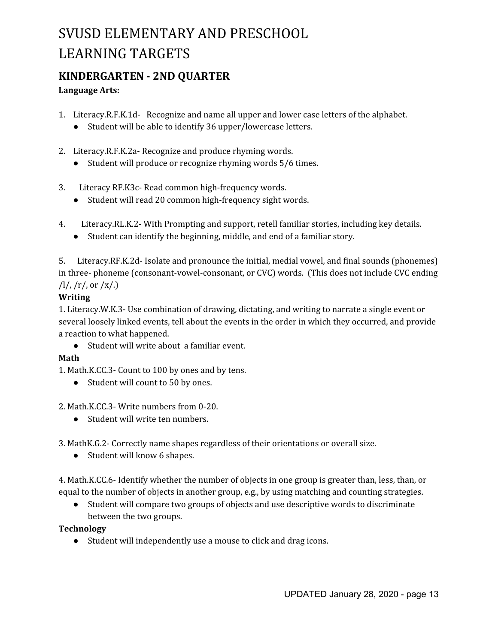### **KINDERGARTEN - 2ND QUARTER**

#### **Language Arts:**

- 1. Literacy.R.F.K.1d- Recognize and name all upper and lower case letters of the alphabet.
	- Student will be able to identify 36 upper/lowercase letters.
- 2. Literacy.R.F.K.2a- Recognize and produce rhyming words.
	- Student will produce or recognize rhyming words 5/6 times.
- 3. Literacy RF.K3c- Read common high-frequency words.
	- Student will read 20 common high-frequency sight words.
- 4. Literacy.RL.K.2- With Prompting and support, retell familiar stories, including key details.
	- Student can identify the beginning, middle, and end of a familiar story.

5. Literacy.RF.K.2d- Isolate and pronounce the initial, medial vowel, and final sounds (phonemes) in three- phoneme (consonant-vowel-consonant, or CVC) words. (This does not include CVC ending  $/l!/$ ,  $/r!/$ , or  $/x!/$ .)

#### **Writing**

1. Literacy.W.K.3- Use combination of drawing, dictating, and writing to narrate a single event or several loosely linked events, tell about the events in the order in which they occurred, and provide a reaction to what happened.

● Student will write about a familiar event.

### **Math**

1. Math.K.CC.3- Count to 100 by ones and by tens.

- Student will count to 50 by ones.
- 2. Math.K.CC.3- Write numbers from 0-20.
	- Student will write ten numbers.

3. MathK.G.2- Correctly name shapes regardless of their orientations or overall size.

● Student will know 6 shapes.

4. Math.K.CC.6- Identify whether the number of objects in one group is greater than, less, than, or equal to the number of objects in another group, e.g., by using matching and counting strategies.

● Student will compare two groups of objects and use descriptive words to discriminate between the two groups.

#### **Technology**

● Student will independently use a mouse to click and drag icons.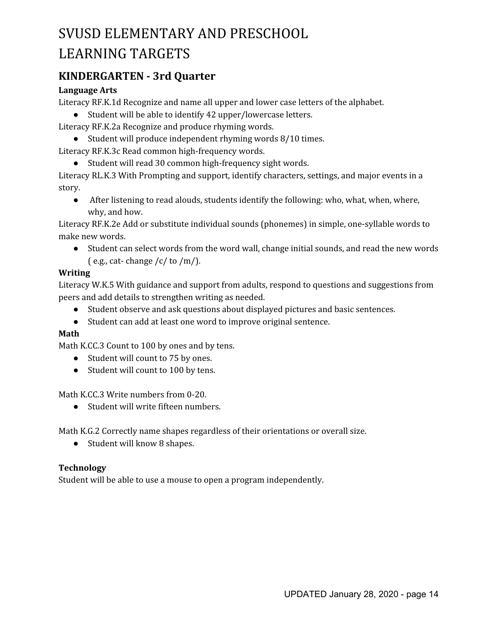### **KINDERGARTEN - 3rd Quarter**

#### **Language Arts**

Literacy RF.K.1d Recognize and name all upper and lower case letters of the alphabet.

● Student will be able to identify 42 upper/lowercase letters.

Literacy RF.K.2a Recognize and produce rhyming words.

● Student will produce independent rhyming words 8/10 times.

Literacy RF.K.3c Read common high-frequency words.

● Student will read 30 common high-frequency sight words.

Literacy RL.K.3 With Prompting and support, identify characters, settings, and major events in a story.

● After listening to read alouds, students identify the following: who, what, when, where, why, and how.

Literacy RF.K.2e Add or substitute individual sounds (phonemes) in simple, one-syllable words to make new words.

● Student can select words from the word wall, change initial sounds, and read the new words  $(e.g., cat- change/c/to/m).$ 

#### **Writing**

Literacy W.K.5 With guidance and support from adults, respond to questions and suggestions from peers and add details to strengthen writing as needed.

- Student observe and ask questions about displayed pictures and basic sentences.
- Student can add at least one word to improve original sentence.

#### **Math**

Math K.CC.3 Count to 100 by ones and by tens.

- Student will count to 75 by ones.
- Student will count to 100 by tens.

Math K.CC.3 Write numbers from 0-20.

● Student will write fifteen numbers.

Math K.G.2 Correctly name shapes regardless of their orientations or overall size.

● Student will know 8 shapes.

#### **Technology**

Student will be able to use a mouse to open a program independently.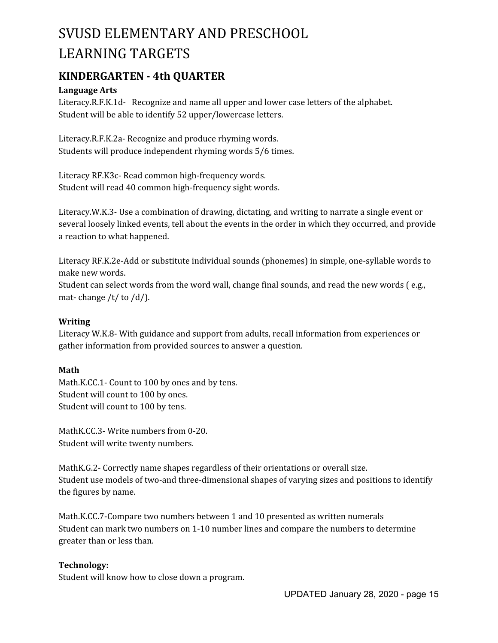### **KINDERGARTEN - 4th QUARTER**

#### **Language Arts**

Literacy.R.F.K.1d- Recognize and name all upper and lower case letters of the alphabet. Student will be able to identify 52 upper/lowercase letters.

Literacy.R.F.K.2a- Recognize and produce rhyming words. Students will produce independent rhyming words 5/6 times.

Literacy RF.K3c- Read common high-frequency words. Student will read 40 common high-frequency sight words.

Literacy.W.K.3- Use a combination of drawing, dictating, and writing to narrate a single event or several loosely linked events, tell about the events in the order in which they occurred, and provide a reaction to what happened.

Literacy RF.K.2e-Add or substitute individual sounds (phonemes) in simple, one-syllable words to make new words.

Student can select words from the word wall, change final sounds, and read the new words ( e.g., mat-change  $/t/$  to  $/d/$ ).

#### **Writing**

Literacy W.K.8- With guidance and support from adults, recall information from experiences or gather information from provided sources to answer a question.

#### **Math**

Math.K.CC.1- Count to 100 by ones and by tens. Student will count to 100 by ones. Student will count to 100 by tens.

MathK.CC.3- Write numbers from 0-20. Student will write twenty numbers.

MathK.G.2- Correctly name shapes regardless of their orientations or overall size. Student use models of two-and three-dimensional shapes of varying sizes and positions to identify the figures by name.

Math.K.CC.7-Compare two numbers between 1 and 10 presented as written numerals Student can mark two numbers on 1-10 number lines and compare the numbers to determine greater than or less than.

#### **Technology:**

Student will know how to close down a program.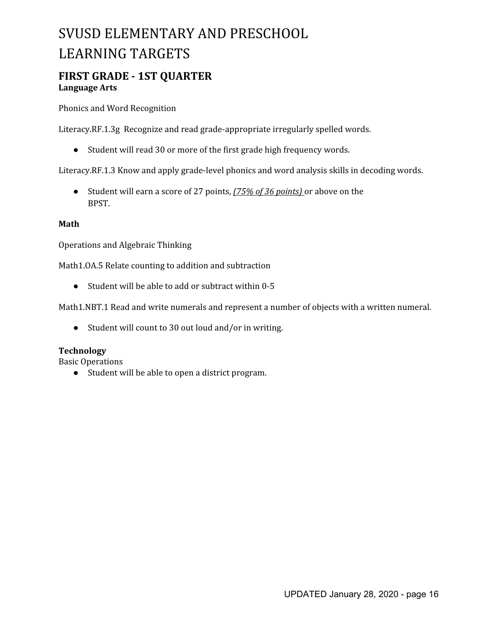### **FIRST GRADE - 1ST QUARTER Language Arts**

Phonics and Word Recognition

Literacy.RF.1.3g Recognize and read grade-appropriate irregularly spelled words.

● Student will read 30 or more of the first grade high frequency words.

Literacy.RF.1.3 Know and apply grade-level phonics and word analysis skills in decoding words.

● Student will earn a score of 27 points, *(75% of 36 points)* or above on the BPST.

#### **Math**

Operations and Algebraic Thinking

Math1.OA.5 Relate counting to addition and subtraction

● Student will be able to add or subtract within 0-5

Math1.NBT.1 Read and write numerals and represent a number of objects with a written numeral.

● Student will count to 30 out loud and/or in writing.

#### **Technology**

Basic Operations

● Student will be able to open a district program.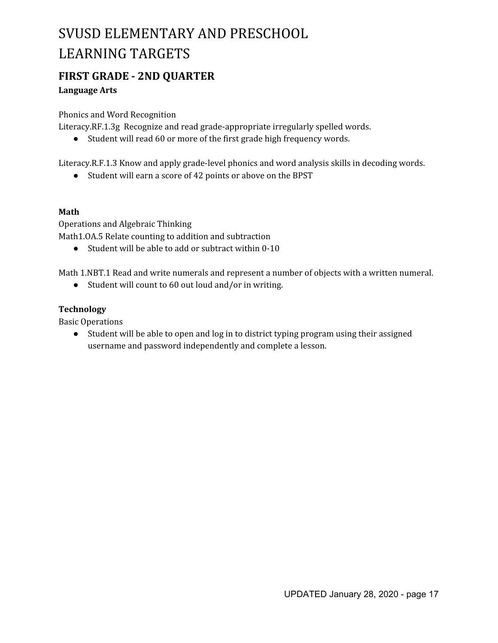### **FIRST GRADE - 2ND QUARTER**

#### **Language Arts**

Phonics and Word Recognition

Literacy.RF.1.3g Recognize and read grade-appropriate irregularly spelled words.

● Student will read 60 or more of the first grade high frequency words.

Literacy.R.F.1.3 Know and apply grade-level phonics and word analysis skills in decoding words.

● Student will earn a score of 42 points or above on the BPST

#### **Math**

Operations and Algebraic Thinking Math1.OA.5 Relate counting to addition and subtraction

● Student will be able to add or subtract within 0-10

Math 1.NBT.1 Read and write numerals and represent a number of objects with a written numeral.

● Student will count to 60 out loud and/or in writing.

#### **Technology**

Basic Operations

● Student will be able to open and log in to district typing program using their assigned username and password independently and complete a lesson.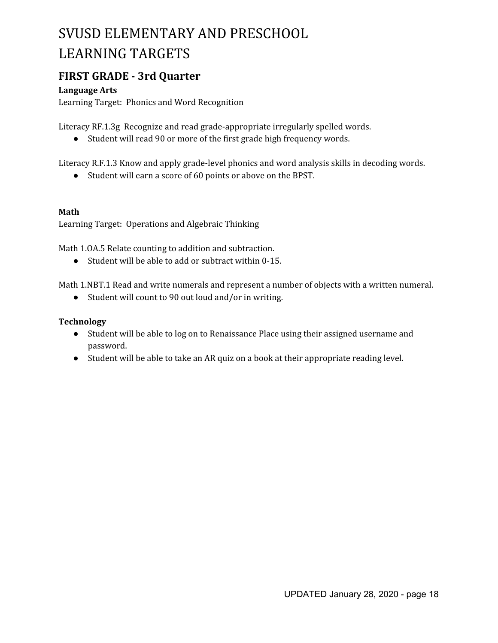### **FIRST GRADE - 3rd Quarter**

#### **Language Arts**

Learning Target: Phonics and Word Recognition

Literacy RF.1.3g Recognize and read grade-appropriate irregularly spelled words.

● Student will read 90 or more of the first grade high frequency words.

Literacy R.F.1.3 Know and apply grade-level phonics and word analysis skills in decoding words.

● Student will earn a score of 60 points or above on the BPST.

#### **Math**

Learning Target: Operations and Algebraic Thinking

Math 1.OA.5 Relate counting to addition and subtraction.

● Student will be able to add or subtract within 0-15.

Math 1.NBT.1 Read and write numerals and represent a number of objects with a written numeral.

● Student will count to 90 out loud and/or in writing.

- Student will be able to log on to Renaissance Place using their assigned username and password.
- Student will be able to take an AR quiz on a book at their appropriate reading level.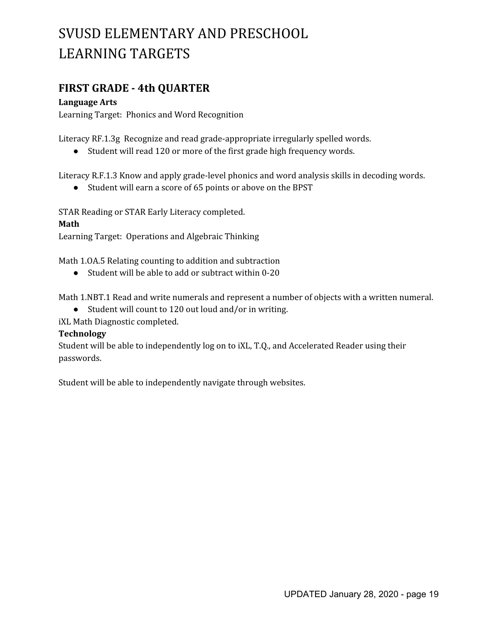### **FIRST GRADE - 4th QUARTER**

#### **Language Arts**

Learning Target: Phonics and Word Recognition

Literacy RF.1.3g Recognize and read grade-appropriate irregularly spelled words.

● Student will read 120 or more of the first grade high frequency words.

Literacy R.F.1.3 Know and apply grade-level phonics and word analysis skills in decoding words.

● Student will earn a score of 65 points or above on the BPST

STAR Reading or STAR Early Literacy completed.

#### **Math**

Learning Target: Operations and Algebraic Thinking

Math 1.OA.5 Relating counting to addition and subtraction

● Student will be able to add or subtract within 0-20

Math 1.NBT.1 Read and write numerals and represent a number of objects with a written numeral.

● Student will count to 120 out loud and/or in writing.

iXL Math Diagnostic completed.

#### **Technology**

Student will be able to independently log on to iXL, T.Q., and Accelerated Reader using their passwords.

Student will be able to independently navigate through websites.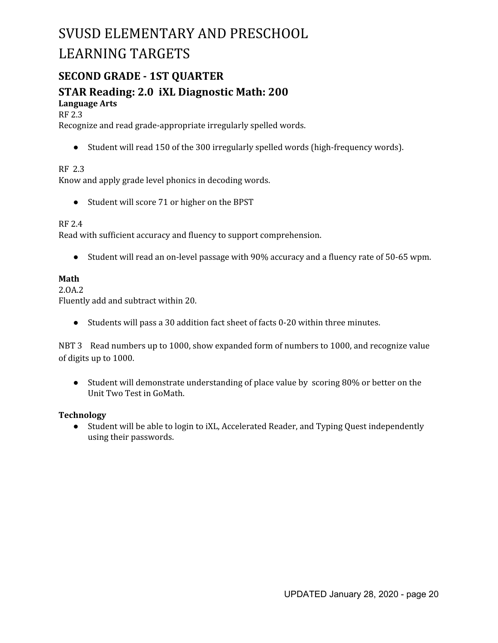### **SECOND GRADE - 1ST QUARTER**

## **STAR Reading: 2.0 iXL Diagnostic Math: 200**

#### **Language Arts**

RF 2.3

Recognize and read grade-appropriate irregularly spelled words.

● Student will read 150 of the 300 irregularly spelled words (high-frequency words).

#### RF 2.3

Know and apply grade level phonics in decoding words.

● Student will score 71 or higher on the BPST

#### RF 2.4

Read with sufficient accuracy and fluency to support comprehension.

● Student will read an on-level passage with 90% accuracy and a fluency rate of 50-65 wpm.

#### **Math**

2.OA.2

Fluently add and subtract within 20.

● Students will pass a 30 addition fact sheet of facts 0-20 within three minutes.

NBT 3 Read numbers up to 1000, show expanded form of numbers to 1000, and recognize value of digits up to 1000.

● Student will demonstrate understanding of place value by scoring 80% or better on the Unit Two Test in GoMath.

#### **Technology**

● Student will be able to login to iXL, Accelerated Reader, and Typing Quest independently using their passwords.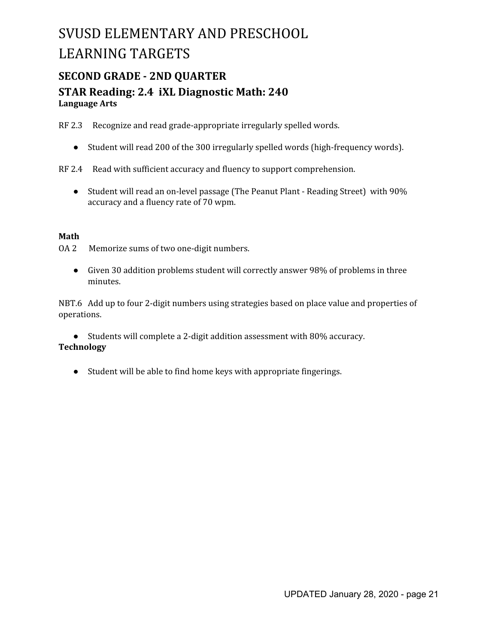### **SECOND GRADE - 2ND QUARTER STAR Reading: 2.4 iXL Diagnostic Math: 240 Language Arts**

RF 2.3 Recognize and read grade-appropriate irregularly spelled words.

- Student will read 200 of the 300 irregularly spelled words (high-frequency words).
- RF 2.4 Read with sufficient accuracy and fluency to support comprehension.
	- Student will read an on-level passage (The Peanut Plant Reading Street) with 90% accuracy and a fluency rate of 70 wpm.

#### **Math**

OA 2 Memorize sums of two one-digit numbers.

● Given 30 addition problems student will correctly answer 98% of problems in three minutes.

NBT.6 Add up to four 2-digit numbers using strategies based on place value and properties of operations.

● Students will complete a 2-digit addition assessment with 80% accuracy. **Technology**

● Student will be able to find home keys with appropriate fingerings.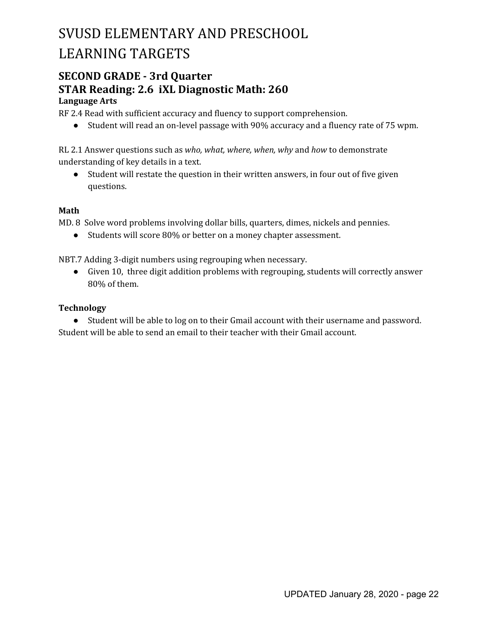### **SECOND GRADE - 3rd Quarter STAR Reading: 2.6 iXL Diagnostic Math: 260 Language Arts**

RF 2.4 Read with sufficient accuracy and fluency to support comprehension.

● Student will read an on-level passage with 90% accuracy and a fluency rate of 75 wpm.

RL 2.1 Answer questions such as *who, what, where, when, why* and *how* to demonstrate understanding of key details in a text.

● Student will restate the question in their written answers, in four out of five given questions.

#### **Math**

MD. 8 Solve word problems involving dollar bills, quarters, dimes, nickels and pennies.

● Students will score 80% or better on a money chapter assessment.

NBT.7 Adding 3-digit numbers using regrouping when necessary.

● Given 10, three digit addition problems with regrouping, students will correctly answer 80% of them.

#### **Technology**

● Student will be able to log on to their Gmail account with their username and password. Student will be able to send an email to their teacher with their Gmail account.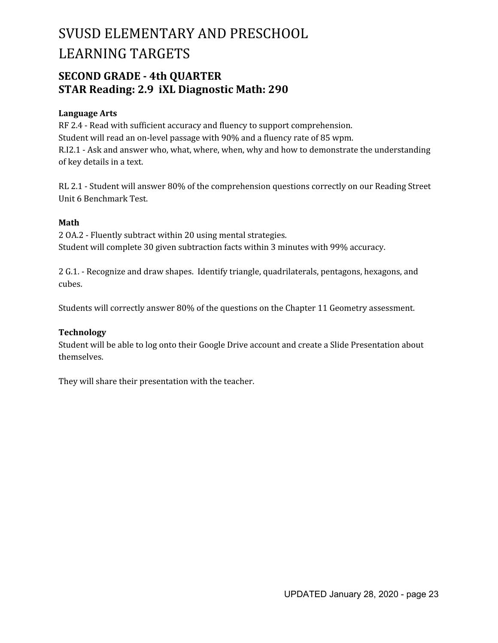### **SECOND GRADE - 4th QUARTER STAR Reading: 2.9 iXL Diagnostic Math: 290**

#### **Language Arts**

RF 2.4 - Read with sufficient accuracy and fluency to support comprehension. Student will read an on-level passage with 90% and a fluency rate of 85 wpm. R.I2.1 - Ask and answer who, what, where, when, why and how to demonstrate the understanding of key details in a text.

RL 2.1 - Student will answer 80% of the comprehension questions correctly on our Reading Street Unit 6 Benchmark Test.

#### **Math**

2 OA.2 - Fluently subtract within 20 using mental strategies. Student will complete 30 given subtraction facts within 3 minutes with 99% accuracy.

2 G.1. - Recognize and draw shapes. Identify triangle, quadrilaterals, pentagons, hexagons, and cubes.

Students will correctly answer 80% of the questions on the Chapter 11 Geometry assessment.

#### **Technology**

Student will be able to log onto their Google Drive account and create a Slide Presentation about themselves.

They will share their presentation with the teacher.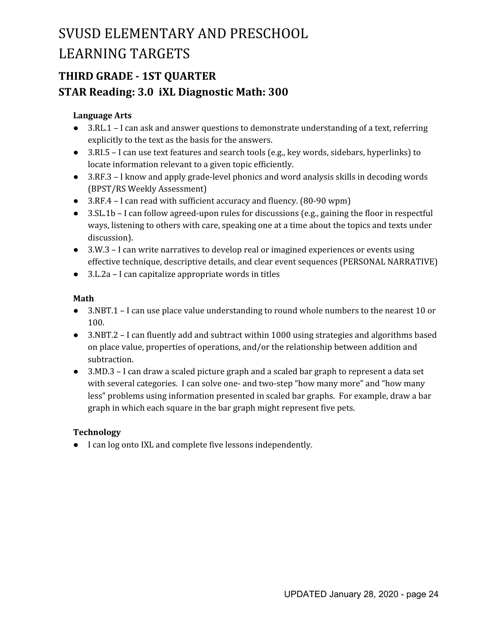## **THIRD GRADE - 1ST QUARTER STAR Reading: 3.0 iXL Diagnostic Math: 300**

#### **Language Arts**

- 3.RL.1 I can ask and answer questions to demonstrate understanding of a text, referring explicitly to the text as the basis for the answers.
- 3.RI.5 I can use text features and search tools (e.g., key words, sidebars, hyperlinks) to locate information relevant to a given topic efficiently.
- 3.RF.3 I know and apply grade-level phonics and word analysis skills in decoding words (BPST/RS Weekly Assessment)
- 3.RF.4 I can read with sufficient accuracy and fluency. (80-90 wpm)
- 3.SL.1b I can follow agreed-upon rules for discussions (e.g., gaining the floor in respectful ways, listening to others with care, speaking one at a time about the topics and texts under discussion).
- 3.W.3 I can write narratives to develop real or imagined experiences or events using effective technique, descriptive details, and clear event sequences (PERSONAL NARRATIVE)
- 3.L.2a I can capitalize appropriate words in titles

#### **Math**

- 3.NBT.1 I can use place value understanding to round whole numbers to the nearest 10 or 100.
- 3.NBT.2 I can fluently add and subtract within 1000 using strategies and algorithms based on place value, properties of operations, and/or the relationship between addition and subtraction.
- 3.MD.3 I can draw a scaled picture graph and a scaled bar graph to represent a data set with several categories. I can solve one- and two-step "how many more" and "how many less" problems using information presented in scaled bar graphs. For example, draw a bar graph in which each square in the bar graph might represent five pets.

### **Technology**

● I can log onto IXL and complete five lessons independently.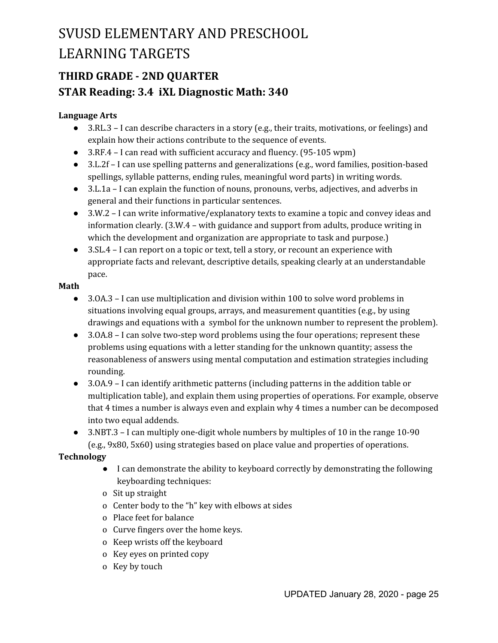## **THIRD GRADE - 2ND QUARTER STAR Reading: 3.4 iXL Diagnostic Math: 340**

#### **Language Arts**

- $\bullet$  3.RL.3 I can describe characters in a story (e.g., their traits, motivations, or feelings) and explain how their actions contribute to the sequence of events.
- 3.RF.4 I can read with sufficient accuracy and fluency. (95-105 wpm)
- 3.L.2f I can use spelling patterns and generalizations (e.g., word families, position-based spellings, syllable patterns, ending rules, meaningful word parts) in writing words.
- 3.L.1a I can explain the function of nouns, pronouns, verbs, adjectives, and adverbs in general and their functions in particular sentences.
- 3.W.2 I can write informative/explanatory texts to examine a topic and convey ideas and information clearly. (3.W.4 – with guidance and support from adults, produce writing in which the development and organization are appropriate to task and purpose.)
- 3.SL.4 I can report on a topic or text, tell a story, or recount an experience with appropriate facts and relevant, descriptive details, speaking clearly at an understandable pace.

#### **Math**

- 3.0A.3 I can use multiplication and division within 100 to solve word problems in situations involving equal groups, arrays, and measurement quantities (e.g., by using drawings and equations with a symbol for the unknown number to represent the problem).
- 3.0A.8 I can solve two-step word problems using the four operations; represent these problems using equations with a letter standing for the unknown quantity; assess the reasonableness of answers using mental computation and estimation strategies including rounding.
- 3.0A.9 I can identify arithmetic patterns (including patterns in the addition table or multiplication table), and explain them using properties of operations. For example, observe that 4 times a number is always even and explain why 4 times a number can be decomposed into two equal addends.
- 3.NBT.3 I can multiply one-digit whole numbers by multiples of 10 in the range 10-90 (e.g., 9x80, 5x60) using strategies based on place value and properties of operations.

- I can demonstrate the ability to keyboard correctly by demonstrating the following keyboarding techniques:
- o Sit up straight
- o Center body to the "h" key with elbows at sides
- o Place feet for balance
- o Curve fingers over the home keys.
- o Keep wrists off the keyboard
- o Key eyes on printed copy
- o Key by touch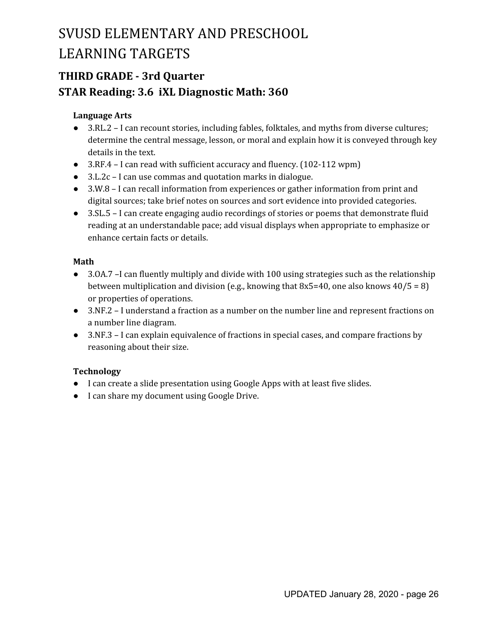## **THIRD GRADE - 3rd Quarter STAR Reading: 3.6 iXL Diagnostic Math: 360**

#### **Language Arts**

- 3.RL.2 I can recount stories, including fables, folktales, and myths from diverse cultures; determine the central message, lesson, or moral and explain how it is conveyed through key details in the text.
- 3.RF.4 I can read with sufficient accuracy and fluency. (102-112 wpm)
- 3.L.2c I can use commas and quotation marks in dialogue.
- 3.W.8 I can recall information from experiences or gather information from print and digital sources; take brief notes on sources and sort evidence into provided categories.
- 3.SL.5 I can create engaging audio recordings of stories or poems that demonstrate fluid reading at an understandable pace; add visual displays when appropriate to emphasize or enhance certain facts or details.

#### **Math**

- 3.0A.7 –I can fluently multiply and divide with 100 using strategies such as the relationship between multiplication and division (e.g., knowing that  $8x5=40$ , one also knows  $40/5 = 8$ ) or properties of operations.
- 3.NF.2 I understand a fraction as a number on the number line and represent fractions on a number line diagram.
- 3.NF.3 I can explain equivalence of fractions in special cases, and compare fractions by reasoning about their size.

- I can create a slide presentation using Google Apps with at least five slides.
- I can share my document using Google Drive.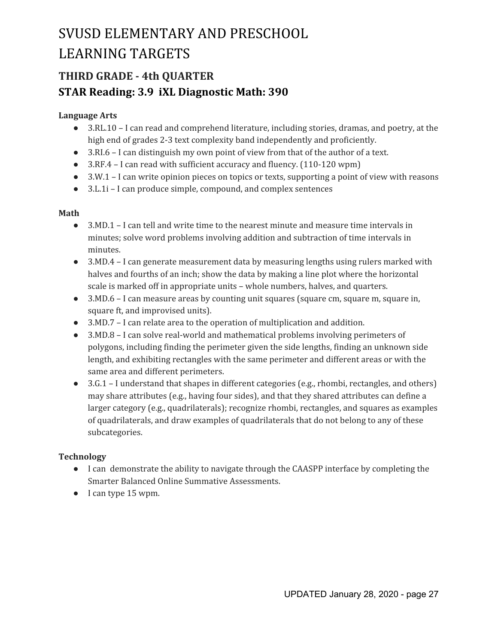## **THIRD GRADE - 4th QUARTER STAR Reading: 3.9 iXL Diagnostic Math: 390**

#### **Language Arts**

- 3.RL.10 I can read and comprehend literature, including stories, dramas, and poetry, at the high end of grades 2-3 text complexity band independently and proficiently.
- 3.RI.6 I can distinguish my own point of view from that of the author of a text.
- 3.RF.4 I can read with sufficient accuracy and fluency. (110-120 wpm)
- 3.W.1 I can write opinion pieces on topics or texts, supporting a point of view with reasons
- 3.L.1i I can produce simple, compound, and complex sentences

#### **Math**

- 3.MD.1 I can tell and write time to the nearest minute and measure time intervals in minutes; solve word problems involving addition and subtraction of time intervals in minutes.
- 3.MD.4 I can generate measurement data by measuring lengths using rulers marked with halves and fourths of an inch; show the data by making a line plot where the horizontal scale is marked off in appropriate units – whole numbers, halves, and quarters.
- 3.MD.6 I can measure areas by counting unit squares (square cm, square m, square in, square ft, and improvised units).
- 3.MD.7 I can relate area to the operation of multiplication and addition.
- 3.MD.8 I can solve real-world and mathematical problems involving perimeters of polygons, including finding the perimeter given the side lengths, finding an unknown side length, and exhibiting rectangles with the same perimeter and different areas or with the same area and different perimeters.
- 3.G.1 I understand that shapes in different categories (e.g., rhombi, rectangles, and others) may share attributes (e.g., having four sides), and that they shared attributes can define a larger category (e.g., quadrilaterals); recognize rhombi, rectangles, and squares as examples of quadrilaterals, and draw examples of quadrilaterals that do not belong to any of these subcategories.

- I can demonstrate the ability to navigate through the CAASPP interface by completing the Smarter Balanced Online Summative Assessments.
- I can type 15 wpm.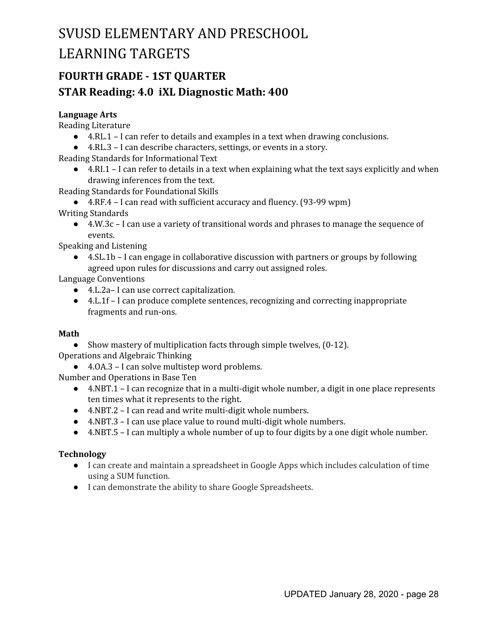## **FOURTH GRADE - 1ST QUARTER STAR Reading: 4.0 iXL Diagnostic Math: 400**

#### **Language Arts**

Reading Literature

- $\bullet$  4.RL.1 I can refer to details and examples in a text when drawing conclusions.
- 4.RL.3 I can describe characters, settings, or events in a story.

Reading Standards for Informational Text

● 4.RI.1 – I can refer to details in a text when explaining what the text says explicitly and when drawing inferences from the text.

Reading Standards for Foundational Skills

● 4.RF.4 – I can read with sufficient accuracy and fluency. (93-99 wpm)

Writing Standards

● 4.W.3c – I can use a variety of transitional words and phrases to manage the sequence of events.

Speaking and Listening

● 4.SL.1b – I can engage in collaborative discussion with partners or groups by following agreed upon rules for discussions and carry out assigned roles.

Language Conventions

- 4.L.2a– I can use correct capitalization.
- 4.L.1f I can produce complete sentences, recognizing and correcting inappropriate fragments and run-ons.

#### **Math**

• Show mastery of multiplication facts through simple twelves, (0-12). Operations and Algebraic Thinking

● 4.0A.3 – I can solve multistep word problems.

Number and Operations in Base Ten

- 4.NBT.1 I can recognize that in a multi-digit whole number, a digit in one place represents ten times what it represents to the right.
- 4.NBT.2 I can read and write multi-digit whole numbers.
- 4.NBT.3 I can use place value to round multi-digit whole numbers.
- 4.NBT.5 I can multiply a whole number of up to four digits by a one digit whole number.

- I can create and maintain a spreadsheet in Google Apps which includes calculation of time using a SUM function.
- I can demonstrate the ability to share Google Spreadsheets.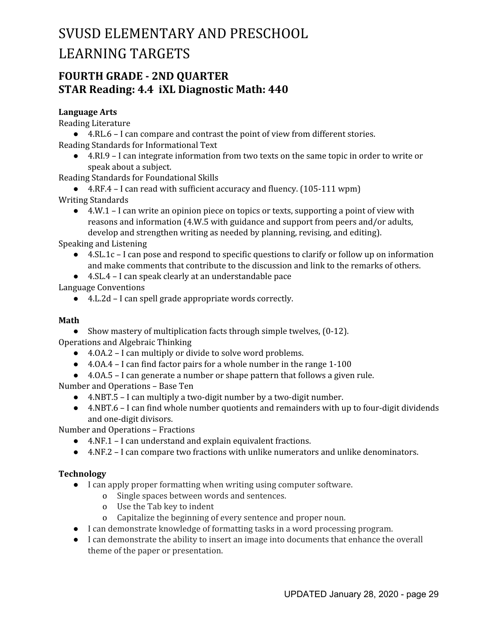### **FOURTH GRADE - 2ND QUARTER STAR Reading: 4.4 iXL Diagnostic Math: 440**

#### **Language Arts**

Reading Literature

● 4.RL.6 – I can compare and contrast the point of view from different stories. Reading Standards for Informational Text

● 4.RI.9 – I can integrate information from two texts on the same topic in order to write or speak about a subject.

Reading Standards for Foundational Skills

● 4.RF.4 – I can read with sufficient accuracy and fluency. (105-111 wpm)

- Writing Standards
	- $\bullet$  4.W.1 I can write an opinion piece on topics or texts, supporting a point of view with reasons and information (4.W.5 with guidance and support from peers and/or adults, develop and strengthen writing as needed by planning, revising, and editing).

Speaking and Listening

- 4.SL.1c I can pose and respond to specific questions to clarify or follow up on information and make comments that contribute to the discussion and link to the remarks of others.
- 4.SL.4 I can speak clearly at an understandable pace

Language Conventions

● 4.L.2d – I can spell grade appropriate words correctly.

#### **Math**

• Show mastery of multiplication facts through simple twelves, (0-12).

Operations and Algebraic Thinking

- 4.0A.2 I can multiply or divide to solve word problems.
- 4.0A.4 I can find factor pairs for a whole number in the range 1-100
- 4.OA.5 I can generate a number or shape pattern that follows a given rule.

Number and Operations – Base Ten

- 4.NBT.5 I can multiply a two-digit number by a two-digit number.
- 4.NBT.6 I can find whole number quotients and remainders with up to four-digit dividends and one-digit divisors.

Number and Operations – Fractions

- 4.NF.1 I can understand and explain equivalent fractions.
- 4.NF.2 I can compare two fractions with unlike numerators and unlike denominators.

- I can apply proper formatting when writing using computer software.
	- o Single spaces between words and sentences.
	- o Use the Tab key to indent
	- o Capitalize the beginning of every sentence and proper noun.
- I can demonstrate knowledge of formatting tasks in a word processing program.
- I can demonstrate the ability to insert an image into documents that enhance the overall theme of the paper or presentation.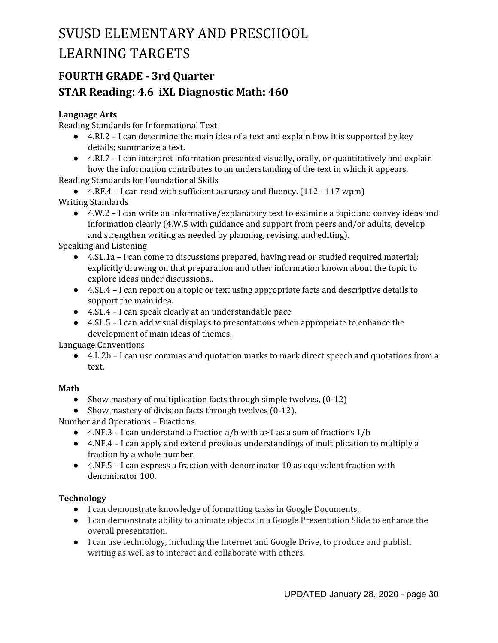## **FOURTH GRADE - 3rd Quarter STAR Reading: 4.6 iXL Diagnostic Math: 460**

#### **Language Arts**

Reading Standards for Informational Text

- $\bullet$  4.RI.2 I can determine the main idea of a text and explain how it is supported by key details; summarize a text.
- $\bullet$  4.RI.7 I can interpret information presented visually, orally, or quantitatively and explain how the information contributes to an understanding of the text in which it appears.

Reading Standards for Foundational Skills

● 4.RF.4 – I can read with sufficient accuracy and fluency. (112 - 117 wpm) Writing Standards

● 4.W.2 – I can write an informative/explanatory text to examine a topic and convey ideas and information clearly (4.W.5 with guidance and support from peers and/or adults, develop and strengthen writing as needed by planning, revising, and editing).

Speaking and Listening

- 4.SL.1a I can come to discussions prepared, having read or studied required material; explicitly drawing on that preparation and other information known about the topic to explore ideas under discussions..
- 4.SL.4 I can report on a topic or text using appropriate facts and descriptive details to support the main idea.
- 4.SL.4 I can speak clearly at an understandable pace
- 4.SL.5 I can add visual displays to presentations when appropriate to enhance the development of main ideas of themes.

Language Conventions

● 4.L.2b – I can use commas and quotation marks to mark direct speech and quotations from a text.

#### **Math**

- Show mastery of multiplication facts through simple twelves,  $(0-12)$
- Show mastery of division facts through twelves (0-12).

Number and Operations – Fractions

- 4.NF.3 I can understand a fraction  $a/b$  with  $a>1$  as a sum of fractions  $1/b$
- 4.NF.4 I can apply and extend previous understandings of multiplication to multiply a fraction by a whole number.
- 4.NF.5 I can express a fraction with denominator 10 as equivalent fraction with denominator 100.

- I can demonstrate knowledge of formatting tasks in Google Documents.
- I can demonstrate ability to animate objects in a Google Presentation Slide to enhance the overall presentation.
- I can use technology, including the Internet and Google Drive, to produce and publish writing as well as to interact and collaborate with others.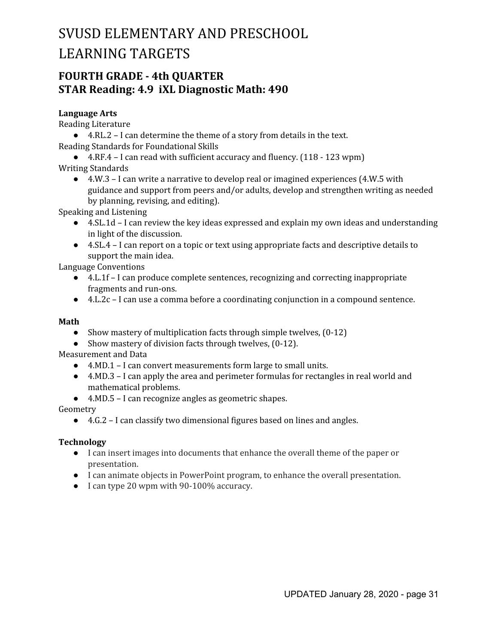### **FOURTH GRADE - 4th QUARTER STAR Reading: 4.9 iXL Diagnostic Math: 490**

#### **Language Arts**

Reading Literature

● 4.RL.2 – I can determine the theme of a story from details in the text. Reading Standards for Foundational Skills

● 4.RF.4 – I can read with sufficient accuracy and fluency. (118 - 123 wpm) Writing Standards

 $\bullet$  4.W.3 – I can write a narrative to develop real or imagined experiences (4.W.5 with guidance and support from peers and/or adults, develop and strengthen writing as needed by planning, revising, and editing).

Speaking and Listening

- 4.SL.1d I can review the key ideas expressed and explain my own ideas and understanding in light of the discussion.
- 4.SL.4 I can report on a topic or text using appropriate facts and descriptive details to support the main idea.

Language Conventions

- 4.L.1f I can produce complete sentences, recognizing and correcting inappropriate fragments and run-ons.
- 4.L.2c I can use a comma before a coordinating conjunction in a compound sentence.

#### **Math**

- Show mastery of multiplication facts through simple twelves,  $(0-12)$
- Show mastery of division facts through twelves, (0-12).

Measurement and Data

- 4.MD.1 I can convert measurements form large to small units.
- 4.MD.3 I can apply the area and perimeter formulas for rectangles in real world and mathematical problems.
- 4.MD.5 I can recognize angles as geometric shapes.

#### Geometry

● 4.G.2 – I can classify two dimensional figures based on lines and angles.

- I can insert images into documents that enhance the overall theme of the paper or presentation.
- I can animate objects in PowerPoint program, to enhance the overall presentation.
- I can type 20 wpm with 90-100% accuracy.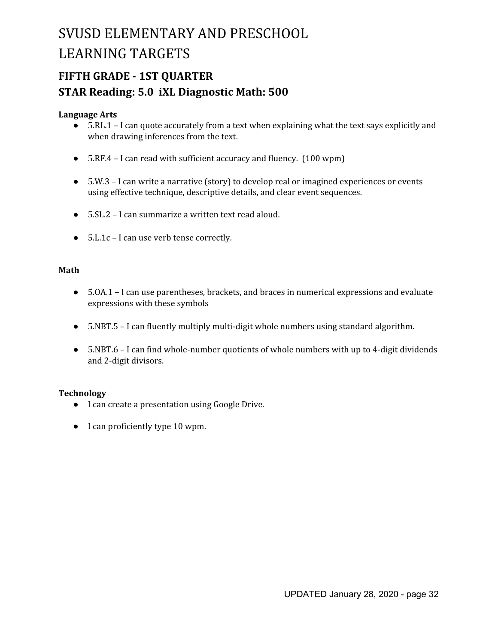## **FIFTH GRADE - 1ST QUARTER STAR Reading: 5.0 iXL Diagnostic Math: 500**

#### **Language Arts**

- 5.RL.1 I can quote accurately from a text when explaining what the text says explicitly and when drawing inferences from the text.
- 5.RF.4 I can read with sufficient accuracy and fluency. (100 wpm)
- 5.W.3 I can write a narrative (story) to develop real or imagined experiences or events using effective technique, descriptive details, and clear event sequences.
- 5.SL.2 I can summarize a written text read aloud.
- 5.L.1c I can use verb tense correctly.

#### **Math**

- 5.0A.1 I can use parentheses, brackets, and braces in numerical expressions and evaluate expressions with these symbols
- 5.NBT.5 I can fluently multiply multi-digit whole numbers using standard algorithm.
- 5.NBT.6 I can find whole-number quotients of whole numbers with up to 4-digit dividends and 2-digit divisors.

- I can create a presentation using Google Drive.
- I can proficiently type 10 wpm.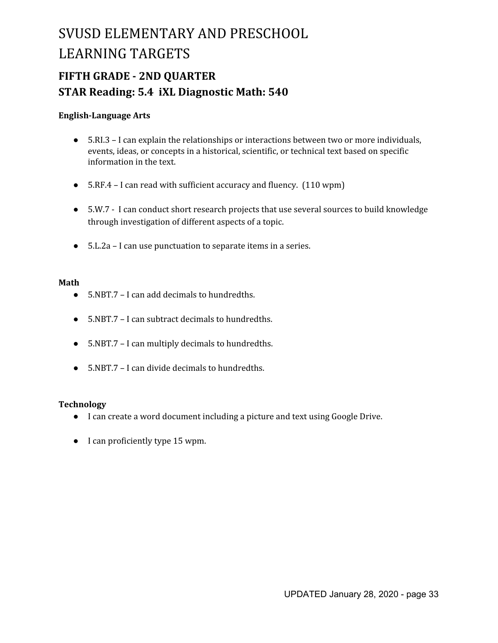## **FIFTH GRADE - 2ND QUARTER STAR Reading: 5.4 iXL Diagnostic Math: 540**

#### **English-Language Arts**

- 5.RI.3 I can explain the relationships or interactions between two or more individuals, events, ideas, or concepts in a historical, scientific, or technical text based on specific information in the text.
- 5.RF.4 I can read with sufficient accuracy and fluency. (110 wpm)
- 5.W.7 I can conduct short research projects that use several sources to build knowledge through investigation of different aspects of a topic.
- 5.L.2a I can use punctuation to separate items in a series.

#### **Math**

- 5.NBT.7 I can add decimals to hundredths.
- 5.NBT.7 I can subtract decimals to hundredths.
- 5.NBT.7 I can multiply decimals to hundredths.
- $\bullet$  5.NBT.7 I can divide decimals to hundredths.

- I can create a word document including a picture and text using Google Drive.
- I can proficiently type 15 wpm.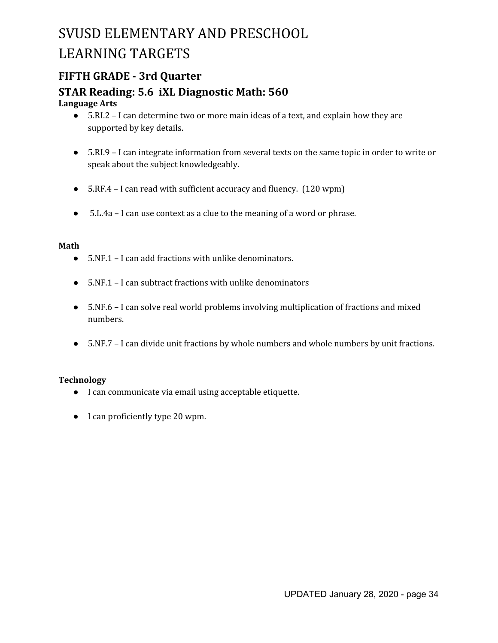### **FIFTH GRADE - 3rd Quarter**

### **STAR Reading: 5.6 iXL Diagnostic Math: 560**

#### **Language Arts**

- **●** 5.RI.2 I can determine two or more main ideas of a text, and explain how they are supported by key details.
- 5.RI.9 I can integrate information from several texts on the same topic in order to write or speak about the subject knowledgeably.
- 5.RF.4 I can read with sufficient accuracy and fluency. (120 wpm)
- 5.L.4a I can use context as a clue to the meaning of a word or phrase.

#### **Math**

- 5.NF.1 I can add fractions with unlike denominators.
- 5.NF.1 I can subtract fractions with unlike denominators
- 5.NF.6 I can solve real world problems involving multiplication of fractions and mixed numbers.
- 5.NF.7 I can divide unit fractions by whole numbers and whole numbers by unit fractions.

- I can communicate via email using acceptable etiquette.
- I can proficiently type 20 wpm.